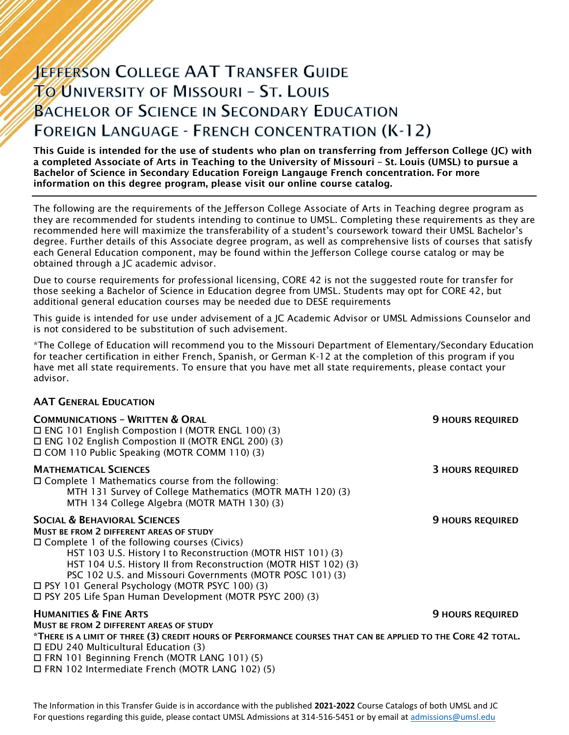# **JEFFERSON COLLEGE AAT TRANSFER GUIDE TO UNIVERSITY OF MISSOURI - ST. LOUIS BACHELOR OF SCIENCE IN SECONDARY EDUCATION FOREIGN LANGUAGE - FRENCH CONCENTRATION (K-12)**

This Guide is intended for the use of students who plan on transferring from Jefferson College (JC) with a completed Associate of Arts in Teaching to the University of Missouri – St. Louis (UMSL) to pursue a Bachelor of Science in Secondary Education Foreign Langauge French concentration. For more information on this degree program, please visit our online course catalog.

The following are the requirements of the Jefferson College Associate of Arts in Teaching degree program as they are recommended for students intending to continue to UMSL. Completing these requirements as they are recommended here will maximize the transferability of a student's coursework toward their UMSL Bachelor's degree. Further details of this Associate degree program, as well as comprehensive lists of courses that satisfy each General Education component, may be found within the Jefferson College course catalog or may be obtained through a JC academic advisor.

Due to course requirements for professional licensing, CORE 42 is not the suggested route for transfer for those seeking a Bachelor of Science in Education degree from UMSL. Students may opt for CORE 42, but additional general education courses may be needed due to DESE requirements

This guide is intended for use under advisement of a JC Academic Advisor or UMSL Admissions Counselor and is not considered to be substitution of such advisement.

\*The College of Education will recommend you to the Missouri Department of Elementary/Secondary Education for teacher certification in either French, Spanish, or German K-12 at the completion of this program if you have met all state requirements. To ensure that you have met all state requirements, please contact your advisor.

## AAT GENERAL EDUCATION

| <b>COMMUNICATIONS - WRITTEN &amp; ORAL</b><br>□ ENG 101 English Compostion I (MOTR ENGL 100) (3)<br>□ ENG 102 English Compostion II (MOTR ENGL 200) (3)<br>□ COM 110 Public Speaking (MOTR COMM 110) (3)                                                                                                                                                                                                                                                          | <b>9 HOURS REQUIRED</b> |
|-------------------------------------------------------------------------------------------------------------------------------------------------------------------------------------------------------------------------------------------------------------------------------------------------------------------------------------------------------------------------------------------------------------------------------------------------------------------|-------------------------|
| <b>MATHEMATICAL SCIENCES</b><br>$\Box$ Complete 1 Mathematics course from the following:<br>MTH 131 Survey of College Mathematics (MOTR MATH 120) (3)<br>MTH 134 College Algebra (MOTR MATH 130) (3)                                                                                                                                                                                                                                                              | <b>3 HOURS REQUIRED</b> |
| <b>SOCIAL &amp; BEHAVIORAL SCIENCES</b><br><b>MUST BE FROM 2 DIFFERENT AREAS OF STUDY</b><br>$\Box$ Complete 1 of the following courses (Civics)<br>HST 103 U.S. History I to Reconstruction (MOTR HIST 101) (3)<br>HST 104 U.S. History II from Reconstruction (MOTR HIST 102) (3)<br>PSC 102 U.S. and Missouri Governments (MOTR POSC 101) (3)<br>□ PSY 101 General Psychology (MOTR PSYC 100) (3)<br>□ PSY 205 Life Span Human Development (MOTR PSYC 200) (3) | <b>9 HOURS REQUIRED</b> |
| <b>HUMANITIES &amp; FINE ARTS</b><br>MUST BE FROM 2 DIFFERENT AREAS OF STUDY                                                                                                                                                                                                                                                                                                                                                                                      | <b>9 HOURS REQUIRED</b> |
| *THERE IS A LIMIT OF THREE (3) CREDIT HOURS OF PERFORMANCE COURSES THAT CAN BE APPLIED TO THE CORE 42 TOTAL.<br>$\Box$ EDU 240 Multicultural Education (3)<br>□ FRN 101 Beginning French (MOTR LANG 101) (5)<br>□ FRN 102 Intermediate French (MOTR LANG 102) (5)                                                                                                                                                                                                 |                         |